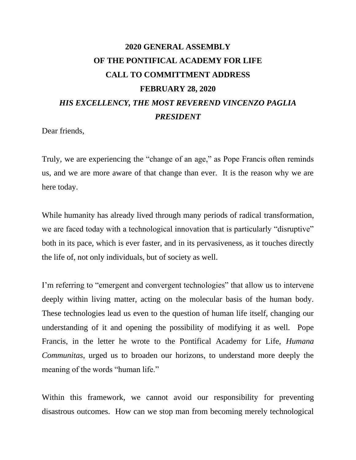## **2020 GENERAL ASSEMBLY OF THE PONTIFICAL ACADEMY FOR LIFE CALL TO COMMITTMENT ADDRESS FEBRUARY 28, 2020** *HIS EXCELLENCY, THE MOST REVEREND VINCENZO PAGLIA PRESIDENT*

Dear friends,

Truly, we are experiencing the "change of an age," as Pope Francis often reminds us, and we are more aware of that change than ever. It is the reason why we are here today.

While humanity has already lived through many periods of radical transformation, we are faced today with a technological innovation that is particularly "disruptive" both in its pace, which is ever faster, and in its pervasiveness, as it touches directly the life of, not only individuals, but of society as well.

I'm referring to "emergent and convergent technologies" that allow us to intervene deeply within living matter, acting on the molecular basis of the human body. These technologies lead us even to the question of human life itself, changing our understanding of it and opening the possibility of modifying it as well. Pope Francis, in the letter he wrote to the Pontifical Academy for Life, *Humana Communitas*, urged us to broaden our horizons, to understand more deeply the meaning of the words "human life."

Within this framework, we cannot avoid our responsibility for preventing disastrous outcomes. How can we stop man from becoming merely technological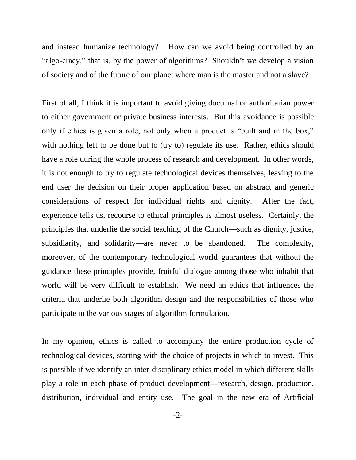and instead humanize technology? How can we avoid being controlled by an "algo-cracy," that is, by the power of algorithms? Shouldn't we develop a vision of society and of the future of our planet where man is the master and not a slave?

First of all, I think it is important to avoid giving doctrinal or authoritarian power to either government or private business interests. But this avoidance is possible only if ethics is given a role, not only when a product is "built and in the box," with nothing left to be done but to (try to) regulate its use. Rather, ethics should have a role during the whole process of research and development. In other words, it is not enough to try to regulate technological devices themselves, leaving to the end user the decision on their proper application based on abstract and generic considerations of respect for individual rights and dignity. After the fact, experience tells us, recourse to ethical principles is almost useless. Certainly, the principles that underlie the social teaching of the Church—such as dignity, justice, subsidiarity, and solidarity—are never to be abandoned. The complexity, moreover, of the contemporary technological world guarantees that without the guidance these principles provide, fruitful dialogue among those who inhabit that world will be very difficult to establish. We need an ethics that influences the criteria that underlie both algorithm design and the responsibilities of those who participate in the various stages of algorithm formulation.

In my opinion, ethics is called to accompany the entire production cycle of technological devices, starting with the choice of projects in which to invest. This is possible if we identify an inter-disciplinary ethics model in which different skills play a role in each phase of product development—research, design, production, distribution, individual and entity use. The goal in the new era of Artificial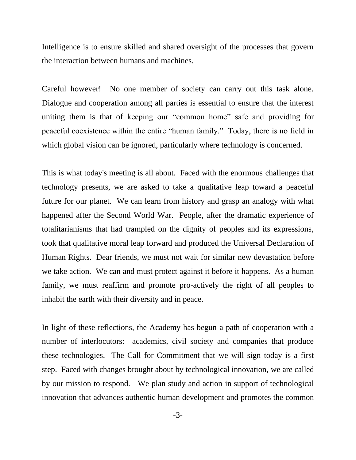Intelligence is to ensure skilled and shared oversight of the processes that govern the interaction between humans and machines.

Careful however! No one member of society can carry out this task alone. Dialogue and cooperation among all parties is essential to ensure that the interest uniting them is that of keeping our "common home" safe and providing for peaceful coexistence within the entire "human family." Today, there is no field in which global vision can be ignored, particularly where technology is concerned.

This is what today's meeting is all about. Faced with the enormous challenges that technology presents, we are asked to take a qualitative leap toward a peaceful future for our planet. We can learn from history and grasp an analogy with what happened after the Second World War. People, after the dramatic experience of totalitarianisms that had trampled on the dignity of peoples and its expressions, took that qualitative moral leap forward and produced the Universal Declaration of Human Rights. Dear friends, we must not wait for similar new devastation before we take action. We can and must protect against it before it happens. As a human family, we must reaffirm and promote pro-actively the right of all peoples to inhabit the earth with their diversity and in peace.

In light of these reflections, the Academy has begun a path of cooperation with a number of interlocutors: academics, civil society and companies that produce these technologies. The Call for Commitment that we will sign today is a first step. Faced with changes brought about by technological innovation, we are called by our mission to respond. We plan study and action in support of technological innovation that advances authentic human development and promotes the common